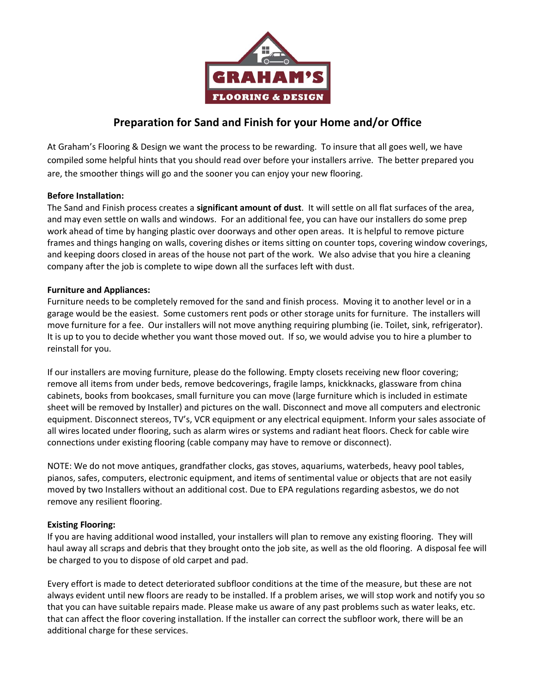

# Preparation for Sand and Finish for your Home and/or Office

At Graham's Flooring & Design we want the process to be rewarding. To insure that all goes well, we have compiled some helpful hints that you should read over before your installers arrive. The better prepared you are, the smoother things will go and the sooner you can enjoy your new flooring.

## Before Installation:

The Sand and Finish process creates a significant amount of dust. It will settle on all flat surfaces of the area, and may even settle on walls and windows. For an additional fee, you can have our installers do some prep work ahead of time by hanging plastic over doorways and other open areas. It is helpful to remove picture frames and things hanging on walls, covering dishes or items sitting on counter tops, covering window coverings, and keeping doors closed in areas of the house not part of the work. We also advise that you hire a cleaning company after the job is complete to wipe down all the surfaces left with dust.

## Furniture and Appliances:

Furniture needs to be completely removed for the sand and finish process. Moving it to another level or in a garage would be the easiest. Some customers rent pods or other storage units for furniture. The installers will move furniture for a fee. Our installers will not move anything requiring plumbing (ie. Toilet, sink, refrigerator). It is up to you to decide whether you want those moved out. If so, we would advise you to hire a plumber to reinstall for you.

If our installers are moving furniture, please do the following. Empty closets receiving new floor covering; remove all items from under beds, remove bedcoverings, fragile lamps, knickknacks, glassware from china cabinets, books from bookcases, small furniture you can move (large furniture which is included in estimate sheet will be removed by Installer) and pictures on the wall. Disconnect and move all computers and electronic equipment. Disconnect stereos, TV's, VCR equipment or any electrical equipment. Inform your sales associate of all wires located under flooring, such as alarm wires or systems and radiant heat floors. Check for cable wire connections under existing flooring (cable company may have to remove or disconnect).

NOTE: We do not move antiques, grandfather clocks, gas stoves, aquariums, waterbeds, heavy pool tables, pianos, safes, computers, electronic equipment, and items of sentimental value or objects that are not easily moved by two Installers without an additional cost. Due to EPA regulations regarding asbestos, we do not remove any resilient flooring.

# Existing Flooring:

If you are having additional wood installed, your installers will plan to remove any existing flooring. They will haul away all scraps and debris that they brought onto the job site, as well as the old flooring. A disposal fee will be charged to you to dispose of old carpet and pad.

Every effort is made to detect deteriorated subfloor conditions at the time of the measure, but these are not always evident until new floors are ready to be installed. If a problem arises, we will stop work and notify you so that you can have suitable repairs made. Please make us aware of any past problems such as water leaks, etc. that can affect the floor covering installation. If the installer can correct the subfloor work, there will be an additional charge for these services.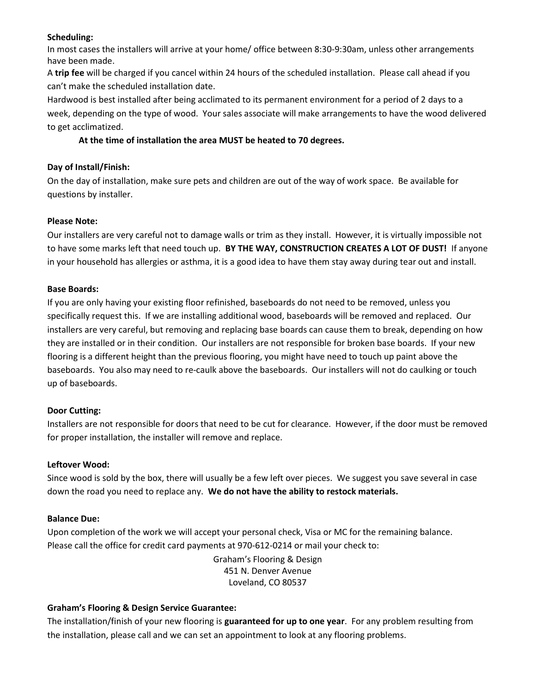#### Scheduling:

In most cases the installers will arrive at your home/ office between 8:30-9:30am, unless other arrangements have been made.

A trip fee will be charged if you cancel within 24 hours of the scheduled installation. Please call ahead if you can't make the scheduled installation date.

Hardwood is best installed after being acclimated to its permanent environment for a period of 2 days to a week, depending on the type of wood. Your sales associate will make arrangements to have the wood delivered to get acclimatized.

## At the time of installation the area MUST be heated to 70 degrees.

## Day of Install/Finish:

On the day of installation, make sure pets and children are out of the way of work space. Be available for questions by installer.

## Please Note:

Our installers are very careful not to damage walls or trim as they install. However, it is virtually impossible not to have some marks left that need touch up. BY THE WAY, CONSTRUCTION CREATES A LOT OF DUST! If anyone in your household has allergies or asthma, it is a good idea to have them stay away during tear out and install.

#### Base Boards:

If you are only having your existing floor refinished, baseboards do not need to be removed, unless you specifically request this. If we are installing additional wood, baseboards will be removed and replaced. Our installers are very careful, but removing and replacing base boards can cause them to break, depending on how they are installed or in their condition. Our installers are not responsible for broken base boards. If your new flooring is a different height than the previous flooring, you might have need to touch up paint above the baseboards. You also may need to re-caulk above the baseboards. Our installers will not do caulking or touch up of baseboards.

# Door Cutting:

Installers are not responsible for doors that need to be cut for clearance. However, if the door must be removed for proper installation, the installer will remove and replace.

#### Leftover Wood:

Since wood is sold by the box, there will usually be a few left over pieces. We suggest you save several in case down the road you need to replace any. We do not have the ability to restock materials.

#### Balance Due:

Upon completion of the work we will accept your personal check, Visa or MC for the remaining balance. Please call the office for credit card payments at 970-612-0214 or mail your check to:

> Graham's Flooring & Design 451 N. Denver Avenue Loveland, CO 80537

# Graham's Flooring & Design Service Guarantee:

The installation/finish of your new flooring is guaranteed for up to one year. For any problem resulting from the installation, please call and we can set an appointment to look at any flooring problems.